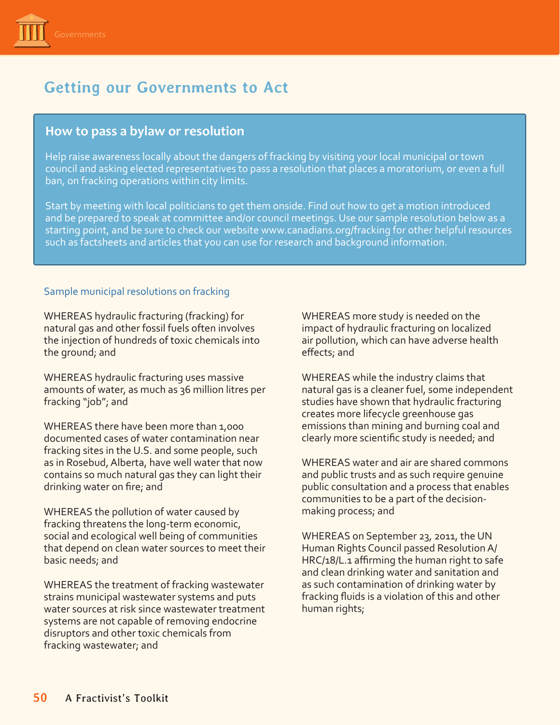

# **Getting our Governments to Act**

## **How to pass a bylaw or resolution**

Help raise awareness locally about the dangers of fracking by visiting your local municipal or town council and asking elected representatives to pass a resolution that places a moratorium, or even a full ban, on fracking operations within city limits.

Start by meeting with local politicians to get them onside. Find out how to get a motion introduced and be prepared to speak at committee and/or council meetings. Use our sample resolution below as a starting point, and be sure to check our website [www.canadians.org/fracking](http://www.canadians.org/fracking) for other helpful resources such as factsheets and articles that you can use for research and background information.

## Sample municipal resolutions on fracking

WHEREAS hydraulic fracturing (fracking) for natural gas and other fossil fuels often involves the injection of hundreds of toxic chemicals into the ground; and

WHEREAS hydraulic fracturing uses massive amounts of water, as much as 36 million litres per fracking "job"; and

WHEREAS there have been more than 1,000 documented cases of water contamination near fracking sites in the U.S. and some people, such as in Rosebud, Alberta, have well water that now contains so much natural gas they can light their drinking water on fire; and

WHEREAS the pollution of water caused by fracking threatens the long-term economic, social and ecological well being of communities that depend on clean water sources to meet their basic needs; and

WHEREAS the treatment of fracking wastewater strains municipal wastewater systems and puts water sources at risk since wastewater treatment systems are not capable of removing endocrine disruptors and other toxic chemicals from fracking wastewater; and

WHEREAS more study is needed on the impact of hydraulic fracturing on localized air pollution, which can have adverse health effects; and

WHEREAS while the industry claims that natural gas is a cleaner fuel, some independent studies have shown that hydraulic fracturing creates more lifecycle greenhouse gas emissions than mining and burning coal and clearly more scientific study is needed; and

WHEREAS water and air are shared commons and public trusts and as such require genuine public consultation and a process that enables communities to be a part of the decisionmaking process; and

WHEREAS on September 23, 2011, the UN Human Rights Council passed Resolution A/ HRC/18/L.1 affirming the human right to safe and clean drinking water and sanitation and as such contamination of drinking water by fracking fluids is a violation of this and other human rights;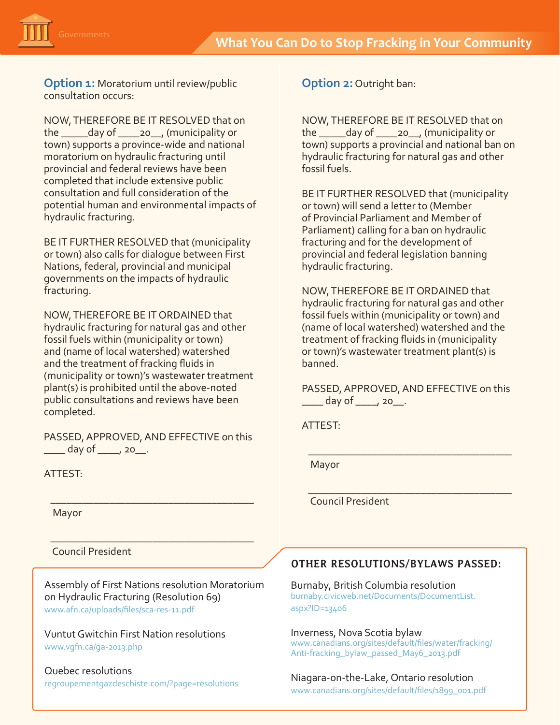

**Option 1:** Moratorium until review/public consultation occurs:

NOW, THEREFORE BE IT RESOLVED that on the \_\_\_\_\_day of \_\_\_\_20\_\_, (municipality or town) supports a province-wide and national moratorium on hydraulic fracturing until provincial and federal reviews have been completed that include extensive public consultation and full consideration of the potential human and environmental impacts of hydraulic fracturing.

BE IT FURTHER RESOLVED that (municipality or town) also calls for dialogue between First Nations, federal, provincial and municipal governments on the impacts of hydraulic fracturing.

NOW, THEREFORE BE IT ORDAINED that hydraulic fracturing for natural gas and other fossil fuels within (municipality or town) and (name of local watershed) watershed and the treatment of fracking fluids in (municipality or town)'s wastewater treatment plant(s) is prohibited until the above-noted public consultations and reviews have been completed.

PASSED, APPROVED, AND EFFECTIVE on this  $\frac{1}{2}$  day of  $\frac{1}{2}$  20

\_\_\_\_\_\_\_\_\_\_\_\_\_\_\_\_\_\_\_\_\_\_\_\_\_\_\_\_\_\_\_\_\_\_\_\_\_\_

\_\_\_\_\_\_\_\_\_\_\_\_\_\_\_\_\_\_\_\_\_\_\_\_\_\_\_\_\_\_\_\_\_\_\_\_\_\_

ATTEST:

Mayor

Council President

Assembly of First Nations resolution Moratorium on Hydraulic Fracturing (Resolution 69) [www.afn.ca/uploads/files/sca-res-11.pdf](http://www.afn.ca/uploads/files/sca-res-11.pdf) 

Vuntut Gwitchin First Nation resolutions [www.vgfn.ca/ga-2013.php](http://www.vgfn.ca/ga-2013.php)

Quebec resolutions [regroupementgazdeschiste.com/?page=resolutions](http://www.regroupementgazdeschiste.com/?page=resolutions)  **Option 2:** Outright ban:

NOW, THEREFORE BE IT RESOLVED that on the \_\_\_\_\_day of \_\_\_\_20\_\_, (municipality or town) supports a provincial and national ban on hydraulic fracturing for natural gas and other fossil fuels.

BE IT FURTHER RESOLVED that (municipality or town) will send a letter to (Member of Provincial Parliament and Member of Parliament) calling for a ban on hydraulic fracturing and for the development of provincial and federal legislation banning hydraulic fracturing.

NOW, THEREFORE BE IT ORDAINED that hydraulic fracturing for natural gas and other fossil fuels within (municipality or town) and (name of local watershed) watershed and the treatment of fracking fluids in (municipality or town)'s wastewater treatment plant(s) is banned.

PASSED, APPROVED, AND EFFECTIVE on this \_\_\_\_ day of \_\_\_\_, 20\_\_.

\_\_\_\_\_\_\_\_\_\_\_\_\_\_\_\_\_\_\_\_\_\_\_\_\_\_\_\_\_\_\_\_\_\_\_\_\_\_

\_\_\_\_\_\_\_\_\_\_\_\_\_\_\_\_\_\_\_\_\_\_\_\_\_\_\_\_\_\_\_\_\_\_\_\_\_\_

ATTEST:

Mayor

Council President

# **OTHER RESOLUTIONS/BYLAWS PASSED:**

Burnaby, British Columbia resolution [burnaby.civicweb.net/Documents/DocumentList.](https://burnaby.civicweb.net/Documents/DocumentList.aspx?ID=13406) [aspx?ID=13406](https://burnaby.civicweb.net/Documents/DocumentList.aspx?ID=13406)

Inverness, Nova Scotia bylaw [www.canadians.org/sites/default/files/water/fracking/](http://www.canadians.org/sites/default/files/water/fracking/Anti-fracking_bylaw_passed_May6_2013.pdf) [Anti-fracking\\_bylaw\\_passed\\_May6\\_2013.pdf](http://www.canadians.org/sites/default/files/water/fracking/Anti-fracking_bylaw_passed_May6_2013.pdf)

Niagara-on-the-Lake, Ontario resolution

[www.canadians.org/sites/default/files/1899\\_001.pdf](http://canadians.org/sites/default/files/1899_001.pdf)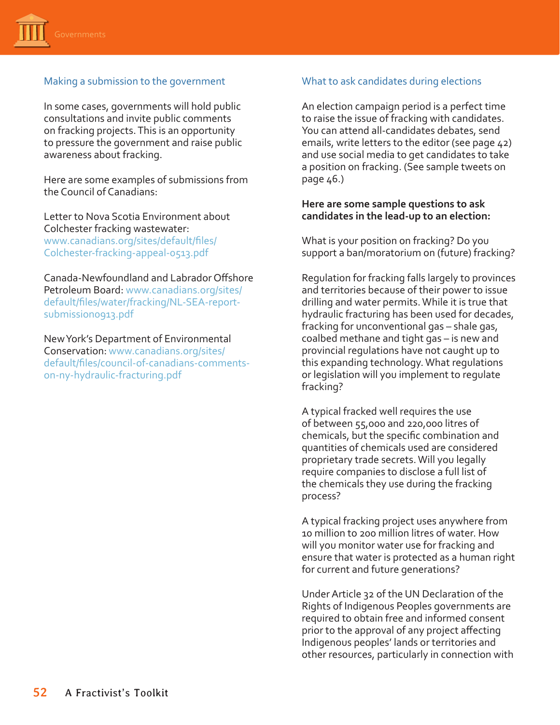

## Making a submission to the government

In some cases, governments will hold public consultations and invite public comments on fracking projects. This is an opportunity to pressure the government and raise public awareness about fracking.

Here are some examples of submissions from the Council of Canadians:

Letter to Nova Scotia Environment about Colchester fracking wastewater: [www.canadians.org/sites/default/files/](http://www.canadians.org/sites/default/files/Colchester-fracking-appeal-0513.pdf) [Colchester-fracking-appeal-0513.pdf](http://www.canadians.org/sites/default/files/Colchester-fracking-appeal-0513.pdf) 

Canada-Newfoundland and Labrador Offshore Petroleum Board: [www.canadians.org/sites/](http://www.canadians.org/sites/default/files/water/fracking/NL-SEA-report-submission0913.pdf) [default/files/water/fracking/NL-SEA-report](http://www.canadians.org/sites/default/files/water/fracking/NL-SEA-report-submission0913.pdf)[submission0913.pdf](http://www.canadians.org/sites/default/files/water/fracking/NL-SEA-report-submission0913.pdf)

New York's Department of Environmental Conservation: [www.canadians.org/sites/](http://www.canadians.org/sites/default/files/council-of-canadians-comments-on-ny-hydraulic-fracturing.pdf) [default/files/council-of-canadians-comments](http://www.canadians.org/sites/default/files/council-of-canadians-comments-on-ny-hydraulic-fracturing.pdf)[on-ny-hydraulic-fracturing.pdf](http://www.canadians.org/sites/default/files/council-of-canadians-comments-on-ny-hydraulic-fracturing.pdf)

#### What to ask candidates during elections

An election campaign period is a perfect time to raise the issue of fracking with candidates. You can attend all-candidates debates, send emails, write letters to the editor (see page 42) and use social media to get candidates to take a position on fracking. (See sample tweets on page 46.)

#### **Here are some sample questions to ask candidates in the lead-up to an election:**

What is your position on fracking? Do you support a ban/moratorium on (future) fracking?

Regulation for fracking falls largely to provinces and territories because of their power to issue drilling and water permits. While it is true that hydraulic fracturing has been used for decades, fracking for unconventional gas – shale gas, coalbed methane and tight gas – is new and provincial regulations have not caught up to this expanding technology. What regulations or legislation will you implement to regulate fracking?

A typical fracked well requires the use of between 55,000 and 220,000 litres of chemicals, but the specific combination and quantities of chemicals used are considered proprietary trade secrets. Will you legally require companies to disclose a full list of the chemicals they use during the fracking process?

A typical fracking project uses anywhere from 10 million to 200 million litres of water. How will you monitor water use for fracking and ensure that water is protected as a human right for current and future generations?

Under Article 32 of the UN Declaration of the Rights of Indigenous Peoples governments are required to obtain free and informed consent prior to the approval of any project affecting Indigenous peoples' lands or territories and other resources, particularly in connection with